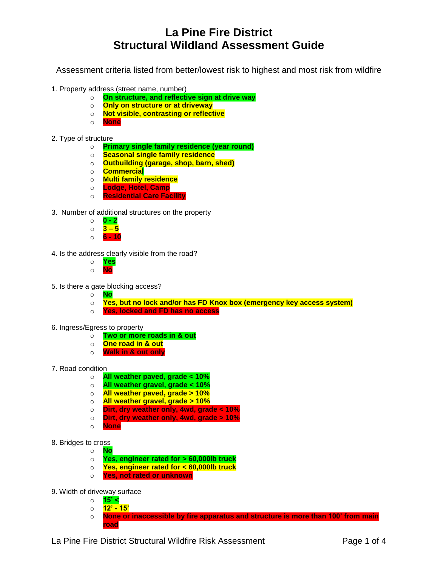## **La Pine Fire District Structural Wildland Assessment Guide**

Assessment criteria listed from better/lowest risk to highest and most risk from wildfire

- 1. Property address (street name, number)
	- o **On structure, and reflective sign at drive way**
	- o **Only on structure or at driveway**
	- o **Not visible, contrasting or reflective**
	- o **None**
- 2. Type of structure
	- o **Primary single family residence (year round)**
	- o **Seasonal single family residence**
	- o **Outbuilding (garage, shop, barn, shed)**
	- o **Commercial**
	- o **Multi family residence**
	- o **Lodge, Hotel, Camp**
	- o **Residential Care Facility**
- 3. Number of additional structures on the property
	- o **0 - 2** o **3 – 5**
	- o **6 - 10**
- 4. Is the address clearly visible from the road?
	- o **Yes** o **No**
- 5. Is there a gate blocking access?
	- o **No**
	- o **Yes, but no lock and/or has FD Knox box (emergency key access system)**
	- o **Yes, locked and FD has no access**
- 6. Ingress/Egress to property
	- o **Two or more roads in & out**
	- o **One road in & out**
	- o **Walk in & out only**
- 7. Road condition
	- o **All weather paved, grade < 10%**
	- o **All weather gravel, grade < 10%**
	- o **All weather paved, grade > 10%**
	- o **All weather gravel, grade > 10%**
	- o **Dirt, dry weather only, 4wd, grade < 10%**
	- o **Dirt, dry weather only, 4wd, grade > 10%**
	- o **None**
- 8. Bridges to cross
	- o **No**
	- o **Yes, engineer rated for > 60,000lb truck**
	- o **Yes, engineer rated for < 60,000lb truck**
	- o **Yes, not rated or unknown**
- 9. Width of driveway surface
	- o **15' <**
	- o **12' - 15'**
	- o **None or inaccessible by fire apparatus and structure is more than 100' from main road**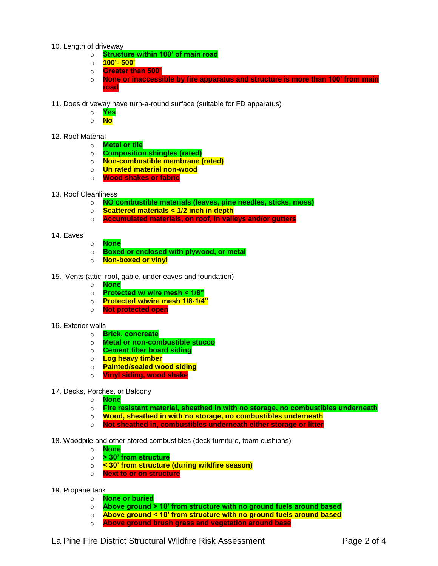- 10. Length of driveway
	- o **Structure within 100' of main road**
	- o **100'- 500'**
	- o **Greater than 500'**
	- o **None or inaccessible by fire apparatus and structure is more than 100' from main road**
- 11. Does driveway have turn-a-round surface (suitable for FD apparatus)
	- o **Yes**
	- o **No**
- 12. Roof Material
	- o **Metal or tile**
		- o **Composition shingles (rated)**
		- o **Non-combustible membrane (rated)**
		- o **Un rated material non-wood**
		- o **Wood shakes or fabric**
- 13. Roof Cleanliness
	- o **NO combustible materials (leaves, pine needles, sticks, moss)**
	- o **Scattered materials < 1/2 inch in depth**
	- o **Accumulated materials, on roof, in valleys and/or gutters**
- 14. Eaves
- o **None**
- o **Boxed or enclosed with plywood, or metal**
- o **Non-boxed or vinyl**
- 15. Vents (attic, roof, gable, under eaves and foundation)
	- o **None**
	- o **Protected w/ wire mesh < 1/8"**
	- o **Protected w/wire mesh 1/8-1/4"**
	- o **Not protected open**
- 16. Exterior walls
	- o **Brick, concreate**
	- o **Metal or non-combustible stucco**
	- o **Cement fiber board siding**
	- o **Log heavy timber**
	- o **Painted/sealed wood siding**
	- o **Vinyl siding, wood shake**
- 17. Decks, Porches, or Balcony
	- o **None**
	- o **Fire resistant material, sheathed in with no storage, no combustibles underneath**
	- o **Wood, sheathed in with no storage, no combustibles underneath**
	- o **Not sheathed in, combustibles underneath either storage or litter**
- 18. Woodpile and other stored combustibles (deck furniture, foam cushions)
	- o **None**
	- o **> 30' from structure**
	- o **< 30' from structure (during wildfire season)**
	- o **Next to or on structure**
- 19. Propane tank
	- o **None or buried**
	- o **Above ground > 10' from structure with no ground fuels around based**
	- o **Above ground < 10' from structure with no ground fuels around based**
	- o **Above ground brush grass and vegetation around base**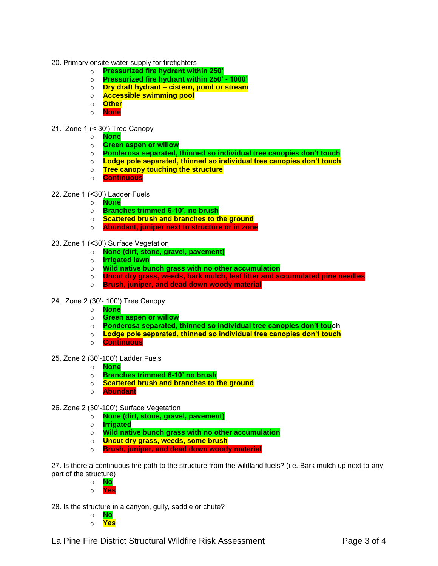- 20. Primary onsite water supply for firefighters
	- o **Pressurized fire hydrant within 250'**
	- o **Pressurized fire hydrant within 250' - 1000'**
	- o **Dry draft hydrant – cistern, pond or stream**
	- o **Accessible swimming pool**
	- o **Other**
	- o **None**
- 21. Zone 1 (< 30') Tree Canopy
	- o **None**
	- o **Green aspen or willow**
	- o **Ponderosa separated, thinned so individual tree canopies don't touch**
	- o **Lodge pole separated, thinned so individual tree canopies don't touch**
	- o **Tree canopy touching the structure**
	- o **Continuous**

## 22. Zone 1 (<30') Ladder Fuels

- o **None**
- o **Branches trimmed 6-10', no brush**
- o **Scattered brush and branches to the ground**
- o **Abundant, juniper next to structure or in zone**
- 23. Zone 1 (<30') Surface Vegetation
	- o **None (dirt, stone, gravel, pavement)**
	- o **Irrigated lawn**
	- o **Wild native bunch grass with no other accumulation**
	- o **Uncut dry grass, weeds, bark mulch, leaf litter and accumulated pine needles**
	- o **Brush, juniper, and dead down woody material**
- 24. Zone 2 (30'- 100') Tree Canopy
	- o **None**
	- o **Green aspen or willow**
	- o **Ponderosa separated, thinned so individual tree canopies don't touch**
	- o **Lodge pole separated, thinned so individual tree canopies don't touch**
	- o **Continuous**
- 25. Zone 2 (30'-100') Ladder Fuels
	- o **None**
	- o **Branches trimmed 6-10' no brush**
	- o **Scattered brush and branches to the ground**
	- o **Abundant**
- 26. Zone 2 (30'-100') Surface Vegetation
	- o **None (dirt, stone, gravel, pavement)**
	- o **Irrigated**
	- o **Wild native bunch grass with no other accumulation**
	- o **Uncut dry grass, weeds, some brush**
	- o **Brush, juniper, and dead down woody material**

27. Is there a continuous fire path to the structure from the wildland fuels? (i.e. Bark mulch up next to any part of the structure)

- o **No** o **Yes**
- 28. Is the structure in a canyon, gully, saddle or chute?
	- o **No** o **Yes**

La Pine Fire District Structural Wildfire Risk Assessment Fage 3 of 4